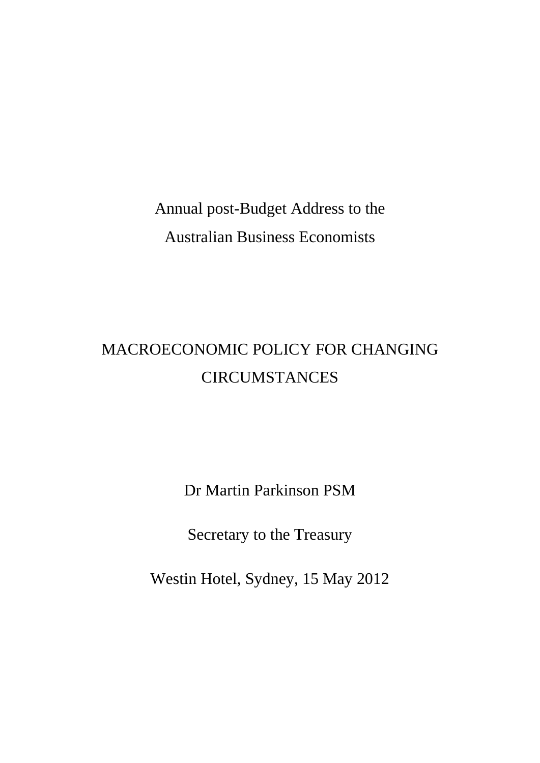Annual post-Budget Address to the Australian Business Economists

# MACROECONOMIC POLICY FOR CHANGING **CIRCUMSTANCES**

Dr Martin Parkinson PSM

Secretary to the Treasury

Westin Hotel, Sydney, 15 May 2012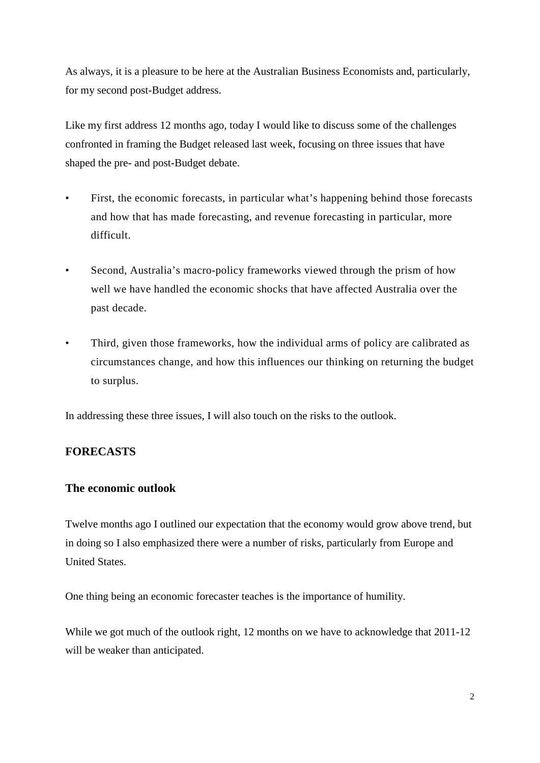As always, it is a pleasure to be here at the Australian Business Economists and, particularly, for my second post-Budget address.

Like my first address 12 months ago, today I would like to discuss some of the challenges confronted in framing the Budget released last week, focusing on three issues that have shaped the pre- and post-Budget debate.

- First, the economic forecasts, in particular what's happening behind those forecasts and how that has made forecasting, and revenue forecasting in particular, more difficult.
- Second, Australia's macro-policy frameworks viewed through the prism of how well we have handled the economic shocks that have affected Australia over the past decade.
- Third, given those frameworks, how the individual arms of policy are calibrated as circumstances change, and how this influences our thinking on returning the budget to surplus.

In addressing these three issues, I will also touch on the risks to the outlook.

### **FORECASTS**

### **The economic outlook**

Twelve months ago I outlined our expectation that the economy would grow above trend, but in doing so I also emphasized there were a number of risks, particularly from Europe and United States.

One thing being an economic forecaster teaches is the importance of humility.

While we got much of the outlook right, 12 months on we have to acknowledge that 2011-12 will be weaker than anticipated.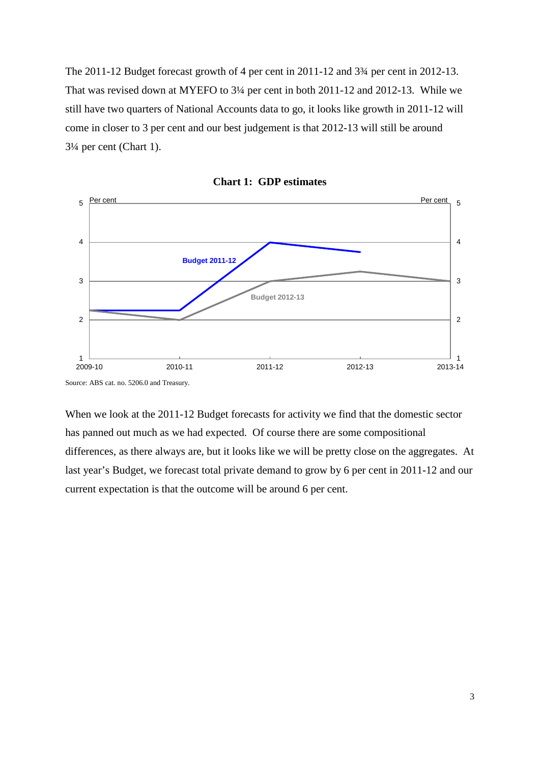The 2011-12 Budget forecast growth of 4 per cent in 2011-12 and 3¾ per cent in 2012-13. That was revised down at MYEFO to 3¼ per cent in both 2011-12 and 2012-13. While we still have two quarters of National Accounts data to go, it looks like growth in 2011-12 will come in closer to 3 per cent and our best judgement is that 2012-13 will still be around 3¼ per cent (Chart 1).



**Chart 1: GDP estimates** 

Source: ABS cat. no. 5206.0 and Treasury.

When we look at the 2011-12 Budget forecasts for activity we find that the domestic sector has panned out much as we had expected. Of course there are some compositional differences, as there always are, but it looks like we will be pretty close on the aggregates. At last year's Budget, we forecast total private demand to grow by 6 per cent in 2011-12 and our current expectation is that the outcome will be around 6 per cent.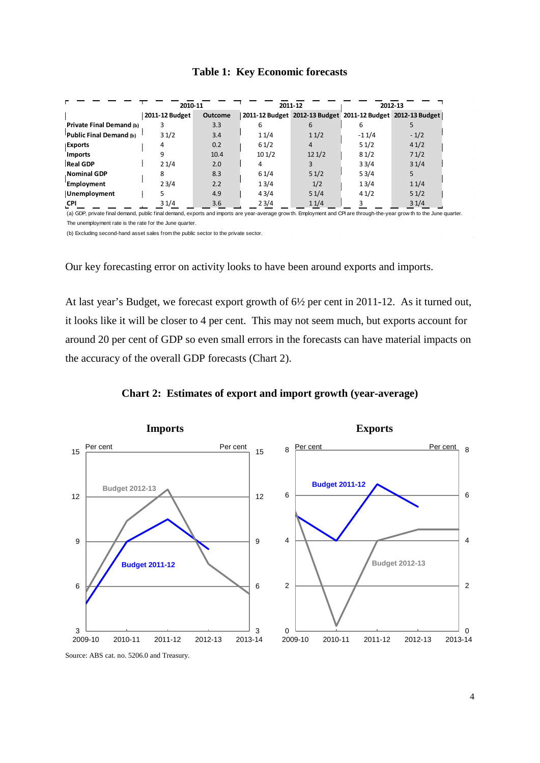### **Table 1: Key Economic forecasts**

|                                                                                                                                                                        | 2010-11        |                | 2011-12 |       | 2012-13 |                                                             |
|------------------------------------------------------------------------------------------------------------------------------------------------------------------------|----------------|----------------|---------|-------|---------|-------------------------------------------------------------|
|                                                                                                                                                                        | 2011-12 Budget | <b>Outcome</b> |         |       |         | 2011-12 Budget 2012-13 Budget 2011-12 Budget 2012-13 Budget |
| Private Final Demand (b)                                                                                                                                               |                | 3.3            | 6       | 6     | 6       |                                                             |
| Public Final Demand (b)                                                                                                                                                | 31/2           | 3.4            | 11/4    | 11/2  | $-11/4$ | $-1/2$                                                      |
| Exports                                                                                                                                                                | 4              | 0.2            | 61/2    | 4     | 51/2    | 41/2                                                        |
| <b>Imports</b>                                                                                                                                                         | 9              | 10.4           | 101/2   | 121/2 | 81/2    | 71/2                                                        |
| <b>Real GDP</b>                                                                                                                                                        | 21/4           | 2.0            |         |       | 33/4    | 31/4                                                        |
| <b>Nominal GDP</b>                                                                                                                                                     | 8              | 8.3            | 61/4    | 51/2  | 53/4    | 5.                                                          |
| Employment                                                                                                                                                             | 23/4           | 2.2            | 13/4    | 1/2   | 13/4    | 11/4                                                        |
| <b>Unemployment</b>                                                                                                                                                    |                | 4.9            | 43/4    | 51/4  | 41/2    | 51/2                                                        |
| <b>CPI</b>                                                                                                                                                             | 31/4           | 3.6            | 23/4    | 11/4  |         | 31/4                                                        |
| (a) GDP, private final demand, public final demand, exports and imports are year-average grow th. Employment and CPI are through-the-year grow th to the June quarter. |                |                |         |       |         |                                                             |

The unemployment rate is the rate for the June quarter.

(b) Excluding second-hand asset sales from the public sector to the private sector.

Our key forecasting error on activity looks to have been around exports and imports.

At last year's Budget, we forecast export growth of 6½ per cent in 2011-12. As it turned out, it looks like it will be closer to 4 per cent. This may not seem much, but exports account for around 20 per cent of GDP so even small errors in the forecasts can have material impacts on the accuracy of the overall GDP forecasts (Chart 2).





Source: ABS cat. no. 5206.0 and Treasury.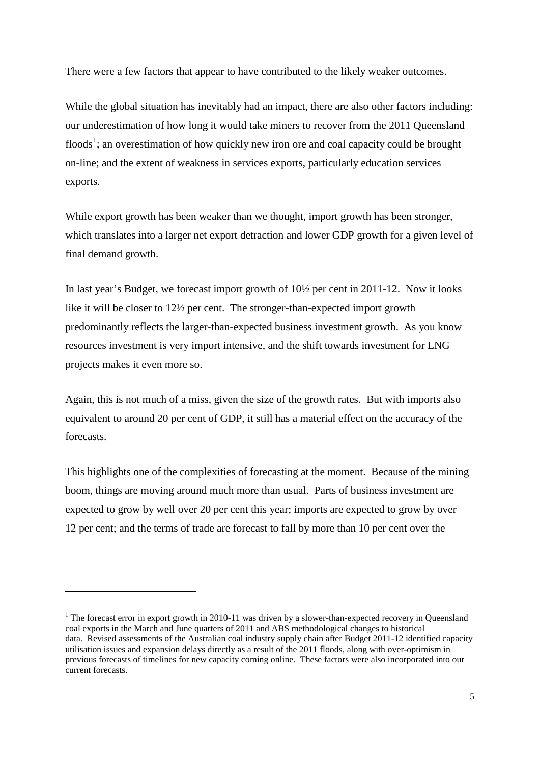There were a few factors that appear to have contributed to the likely weaker outcomes.

While the global situation has inevitably had an impact, there are also other factors including: our underestimation of how long it would take miners to recover from the 2011 Queensland floods<sup>[1](#page-4-0)</sup>; an overestimation of how quickly new iron ore and coal capacity could be brought on-line; and the extent of weakness in services exports, particularly education services exports.

While export growth has been weaker than we thought, import growth has been stronger, which translates into a larger net export detraction and lower GDP growth for a given level of final demand growth.

In last year's Budget, we forecast import growth of 10½ per cent in 2011-12. Now it looks like it will be closer to 12½ per cent. The stronger-than-expected import growth predominantly reflects the larger-than-expected business investment growth. As you know resources investment is very import intensive, and the shift towards investment for LNG projects makes it even more so.

Again, this is not much of a miss, given the size of the growth rates. But with imports also equivalent to around 20 per cent of GDP, it still has a material effect on the accuracy of the forecasts.

This highlights one of the complexities of forecasting at the moment. Because of the mining boom, things are moving around much more than usual. Parts of business investment are expected to grow by well over 20 per cent this year; imports are expected to grow by over 12 per cent; and the terms of trade are forecast to fall by more than 10 per cent over the

-

<span id="page-4-0"></span><sup>&</sup>lt;sup>1</sup> The forecast error in export growth in 2010-11 was driven by a slower-than-expected recovery in Queensland coal exports in the March and June quarters of 2011 and ABS methodological changes to historical data. Revised assessments of the Australian coal industry supply chain after Budget 2011-12 identified capacity utilisation issues and expansion delays directly as a result of the 2011 floods, along with over-optimism in previous forecasts of timelines for new capacity coming online. These factors were also incorporated into our current forecasts.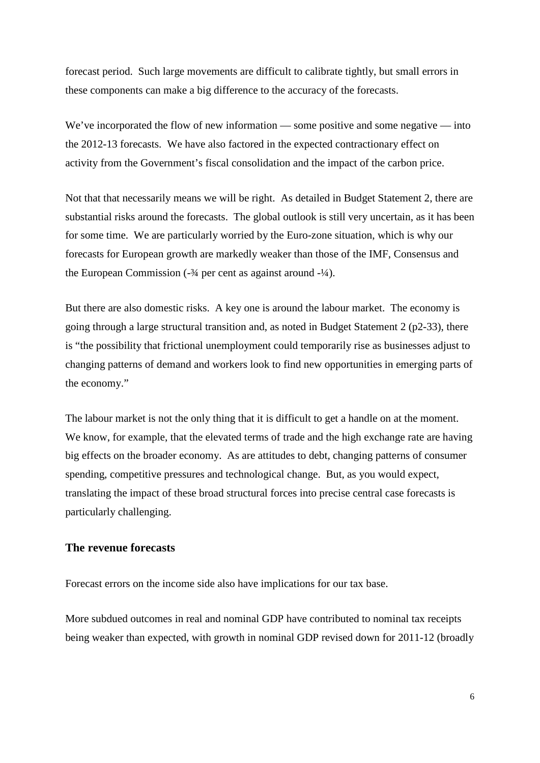forecast period. Such large movements are difficult to calibrate tightly, but small errors in these components can make a big difference to the accuracy of the forecasts.

We've incorporated the flow of new information — some positive and some negative — into the 2012-13 forecasts. We have also factored in the expected contractionary effect on activity from the Government's fiscal consolidation and the impact of the carbon price.

Not that that necessarily means we will be right. As detailed in Budget Statement 2, there are substantial risks around the forecasts. The global outlook is still very uncertain, as it has been for some time. We are particularly worried by the Euro-zone situation, which is why our forecasts for European growth are markedly weaker than those of the IMF, Consensus and the European Commission  $(-\frac{3}{4})$  per cent as against around  $(-\frac{1}{4})$ .

But there are also domestic risks. A key one is around the labour market. The economy is going through a large structural transition and, as noted in Budget Statement 2 (p2-33), there is "the possibility that frictional unemployment could temporarily rise as businesses adjust to changing patterns of demand and workers look to find new opportunities in emerging parts of the economy."

The labour market is not the only thing that it is difficult to get a handle on at the moment. We know, for example, that the elevated terms of trade and the high exchange rate are having big effects on the broader economy. As are attitudes to debt, changing patterns of consumer spending, competitive pressures and technological change. But, as you would expect, translating the impact of these broad structural forces into precise central case forecasts is particularly challenging.

### **The revenue forecasts**

Forecast errors on the income side also have implications for our tax base.

More subdued outcomes in real and nominal GDP have contributed to nominal tax receipts being weaker than expected, with growth in nominal GDP revised down for 2011-12 (broadly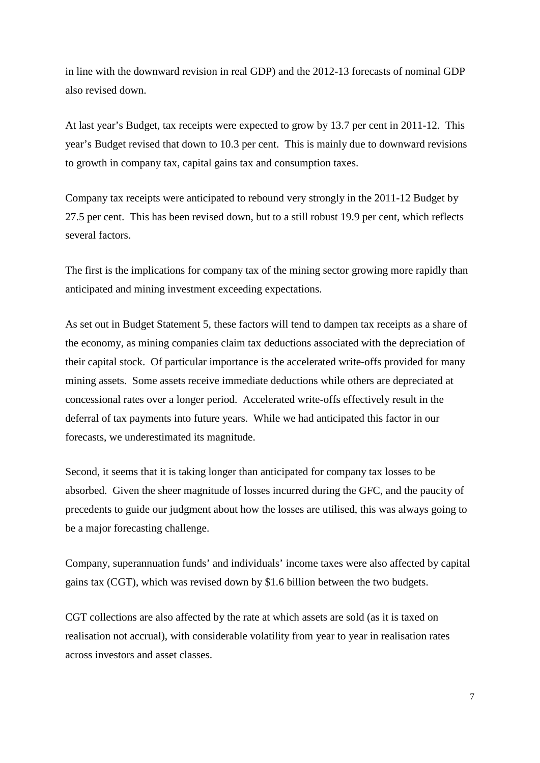in line with the downward revision in real GDP) and the 2012-13 forecasts of nominal GDP also revised down.

At last year's Budget, tax receipts were expected to grow by 13.7 per cent in 2011-12. This year's Budget revised that down to 10.3 per cent. This is mainly due to downward revisions to growth in company tax, capital gains tax and consumption taxes.

Company tax receipts were anticipated to rebound very strongly in the 2011-12 Budget by 27.5 per cent. This has been revised down, but to a still robust 19.9 per cent, which reflects several factors.

The first is the implications for company tax of the mining sector growing more rapidly than anticipated and mining investment exceeding expectations.

As set out in Budget Statement 5, these factors will tend to dampen tax receipts as a share of the economy, as mining companies claim tax deductions associated with the depreciation of their capital stock. Of particular importance is the accelerated write-offs provided for many mining assets. Some assets receive immediate deductions while others are depreciated at concessional rates over a longer period. Accelerated write-offs effectively result in the deferral of tax payments into future years. While we had anticipated this factor in our forecasts, we underestimated its magnitude.

Second, it seems that it is taking longer than anticipated for company tax losses to be absorbed. Given the sheer magnitude of losses incurred during the GFC, and the paucity of precedents to guide our judgment about how the losses are utilised, this was always going to be a major forecasting challenge.

Company, superannuation funds' and individuals' income taxes were also affected by capital gains tax (CGT), which was revised down by \$1.6 billion between the two budgets.

CGT collections are also affected by the rate at which assets are sold (as it is taxed on realisation not accrual), with considerable volatility from year to year in realisation rates across investors and asset classes.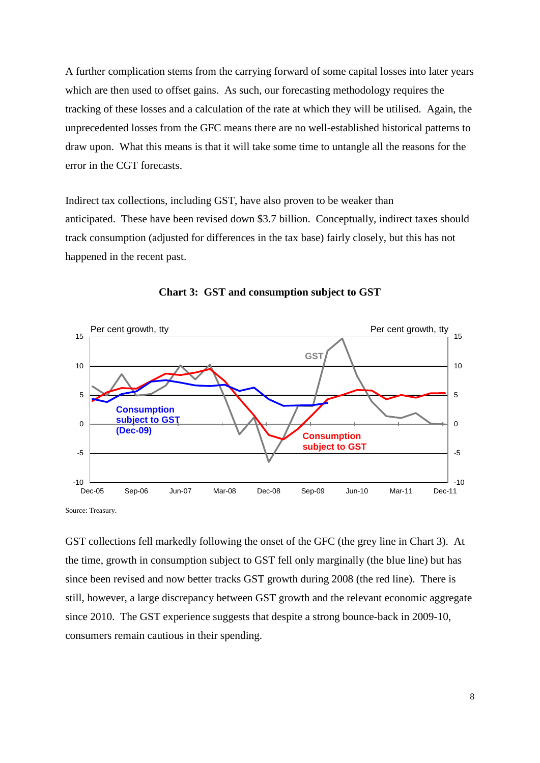A further complication stems from the carrying forward of some capital losses into later years which are then used to offset gains. As such, our forecasting methodology requires the tracking of these losses and a calculation of the rate at which they will be utilised. Again, the unprecedented losses from the GFC means there are no well-established historical patterns to draw upon. What this means is that it will take some time to untangle all the reasons for the error in the CGT forecasts.

Indirect tax collections, including GST, have also proven to be weaker than anticipated. These have been revised down \$3.7 billion. Conceptually, indirect taxes should track consumption (adjusted for differences in the tax base) fairly closely, but this has not happened in the recent past.



**Chart 3: GST and consumption subject to GST**

Source: Treasury.

GST collections fell markedly following the onset of the GFC (the grey line in Chart 3). At the time, growth in consumption subject to GST fell only marginally (the blue line) but has since been revised and now better tracks GST growth during 2008 (the red line). There is still, however, a large discrepancy between GST growth and the relevant economic aggregate since 2010. The GST experience suggests that despite a strong bounce-back in 2009-10, consumers remain cautious in their spending.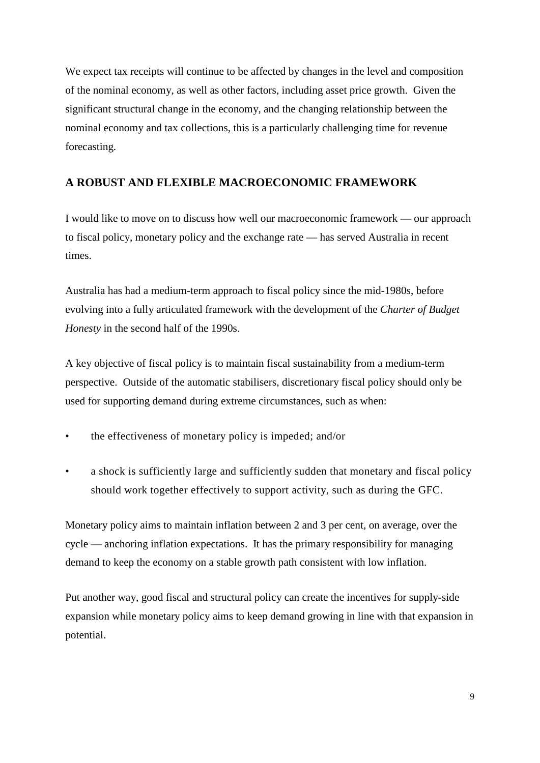We expect tax receipts will continue to be affected by changes in the level and composition of the nominal economy, as well as other factors, including asset price growth. Given the significant structural change in the economy, and the changing relationship between the nominal economy and tax collections, this is a particularly challenging time for revenue forecasting.

### **A ROBUST AND FLEXIBLE MACROECONOMIC FRAMEWORK**

I would like to move on to discuss how well our macroeconomic framework — our approach to fiscal policy, monetary policy and the exchange rate — has served Australia in recent times.

Australia has had a medium-term approach to fiscal policy since the mid-1980s, before evolving into a fully articulated framework with the development of the *Charter of Budget Honesty* in the second half of the 1990s.

A key objective of fiscal policy is to maintain fiscal sustainability from a medium-term perspective. Outside of the automatic stabilisers, discretionary fiscal policy should only be used for supporting demand during extreme circumstances, such as when:

- the effectiveness of monetary policy is impeded; and/or
- a shock is sufficiently large and sufficiently sudden that monetary and fiscal policy should work together effectively to support activity, such as during the GFC.

Monetary policy aims to maintain inflation between 2 and 3 per cent, on average, over the cycle — anchoring inflation expectations. It has the primary responsibility for managing demand to keep the economy on a stable growth path consistent with low inflation.

Put another way, good fiscal and structural policy can create the incentives for supply-side expansion while monetary policy aims to keep demand growing in line with that expansion in potential.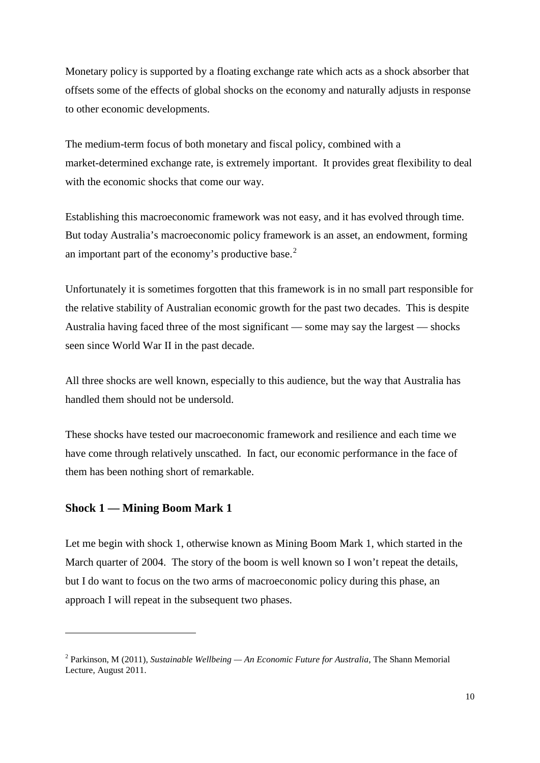Monetary policy is supported by a floating exchange rate which acts as a shock absorber that offsets some of the effects of global shocks on the economy and naturally adjusts in response to other economic developments.

The medium-term focus of both monetary and fiscal policy, combined with a market-determined exchange rate, is extremely important. It provides great flexibility to deal with the economic shocks that come our way.

Establishing this macroeconomic framework was not easy, and it has evolved through time. But today Australia's macroeconomic policy framework is an asset, an endowment, forming an important part of the economy's productive base.<sup>[2](#page-9-0)</sup>

Unfortunately it is sometimes forgotten that this framework is in no small part responsible for the relative stability of Australian economic growth for the past two decades. This is despite Australia having faced three of the most significant — some may say the largest — shocks seen since World War II in the past decade.

All three shocks are well known, especially to this audience, but the way that Australia has handled them should not be undersold.

These shocks have tested our macroeconomic framework and resilience and each time we have come through relatively unscathed. In fact, our economic performance in the face of them has been nothing short of remarkable.

### **Shock 1 — Mining Boom Mark 1**

1

Let me begin with shock 1, otherwise known as Mining Boom Mark 1, which started in the March quarter of 2004. The story of the boom is well known so I won't repeat the details, but I do want to focus on the two arms of macroeconomic policy during this phase, an approach I will repeat in the subsequent two phases.

<span id="page-9-0"></span><sup>2</sup> Parkinson, M (2011), *Sustainable Wellbeing — An Economic Future for Australia*, The Shann Memorial Lecture, August 2011.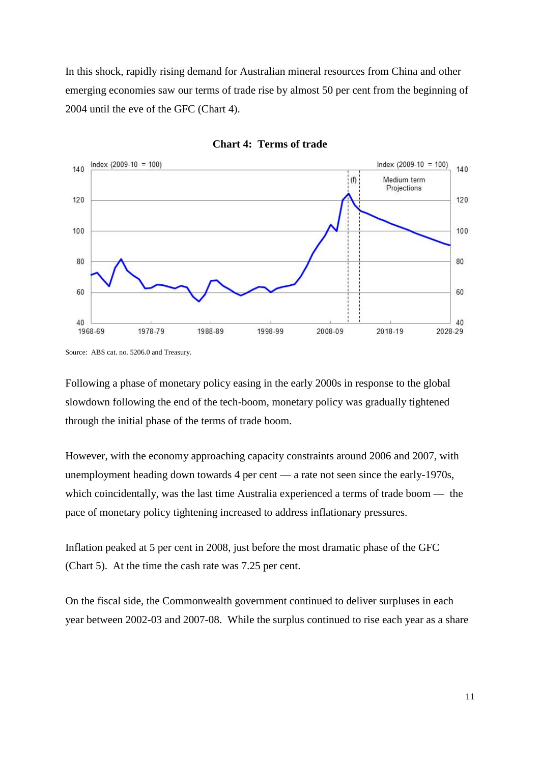In this shock, rapidly rising demand for Australian mineral resources from China and other emerging economies saw our terms of trade rise by almost 50 per cent from the beginning of 2004 until the eve of the GFC (Chart 4).





Following a phase of monetary policy easing in the early 2000s in response to the global slowdown following the end of the tech-boom, monetary policy was gradually tightened through the initial phase of the terms of trade boom.

However, with the economy approaching capacity constraints around 2006 and 2007, with unemployment heading down towards 4 per cent — a rate not seen since the early-1970s, which coincidentally, was the last time Australia experienced a terms of trade boom — the pace of monetary policy tightening increased to address inflationary pressures.

Inflation peaked at 5 per cent in 2008, just before the most dramatic phase of the GFC (Chart 5). At the time the cash rate was 7.25 per cent.

On the fiscal side, the Commonwealth government continued to deliver surpluses in each year between 2002-03 and 2007-08. While the surplus continued to rise each year as a share

Source: ABS cat. no. 5206.0 and Treasury.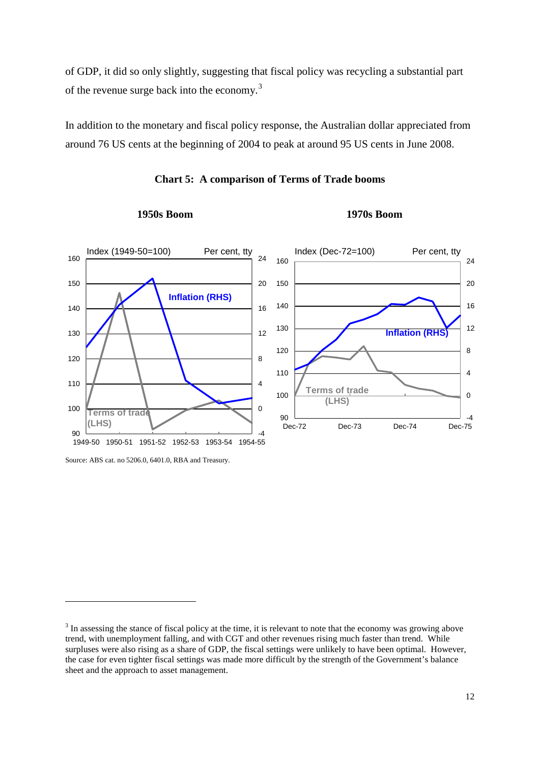of GDP, it did so only slightly, suggesting that fiscal policy was recycling a substantial part of the revenue surge back into the economy.<sup>[3](#page-11-0)</sup>

In addition to the monetary and fiscal policy response, the Australian dollar appreciated from around 76 US cents at the beginning of 2004 to peak at around 95 US cents in June 2008.



### **Chart 5: A comparison of Terms of Trade booms**

**1950s Boom 1970s Boom**

-

Source: ABS cat. no 5206.0, 6401.0, RBA and Treasury.

<span id="page-11-0"></span><sup>&</sup>lt;sup>3</sup> In assessing the stance of fiscal policy at the time, it is relevant to note that the economy was growing above trend, with unemployment falling, and with CGT and other revenues rising much faster than trend. While surpluses were also rising as a share of GDP, the fiscal settings were unlikely to have been optimal. However, the case for even tighter fiscal settings was made more difficult by the strength of the Government's balance sheet and the approach to asset management.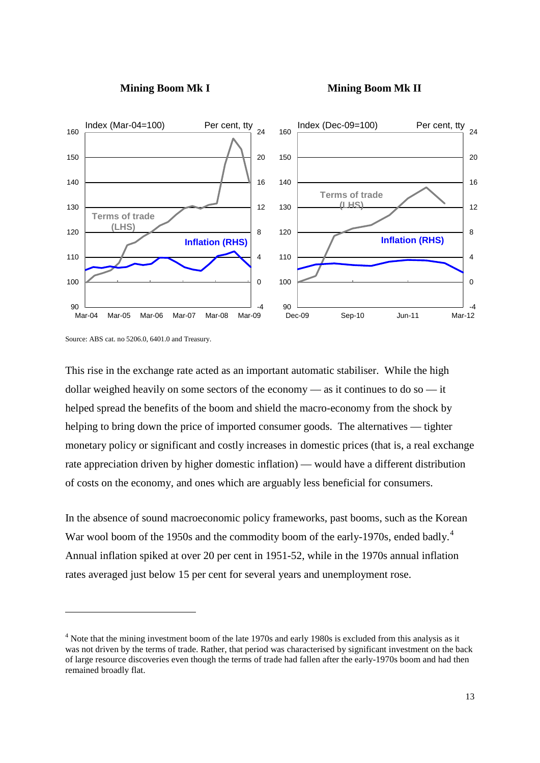



Source: ABS cat. no 5206.0, 6401.0 and Treasury.

<u>.</u>

This rise in the exchange rate acted as an important automatic stabiliser. While the high dollar weighed heavily on some sectors of the economy — as it continues to do so — it helped spread the benefits of the boom and shield the macro-economy from the shock by helping to bring down the price of imported consumer goods. The alternatives — tighter monetary policy or significant and costly increases in domestic prices (that is, a real exchange rate appreciation driven by higher domestic inflation) — would have a different distribution of costs on the economy, and ones which are arguably less beneficial for consumers.

In the absence of sound macroeconomic policy frameworks, past booms, such as the Korean War wool boom of the 1950s and the commodity boom of the early-1970s, ended badly.<sup>[4](#page-12-0)</sup> Annual inflation spiked at over 20 per cent in 1951-52, while in the 1970s annual inflation rates averaged just below 15 per cent for several years and unemployment rose.

<span id="page-12-0"></span><sup>&</sup>lt;sup>4</sup> Note that the mining investment boom of the late 1970s and early 1980s is excluded from this analysis as it was not driven by the terms of trade. Rather, that period was characterised by significant investment on the back of large resource discoveries even though the terms of trade had fallen after the early-1970s boom and had then remained broadly flat.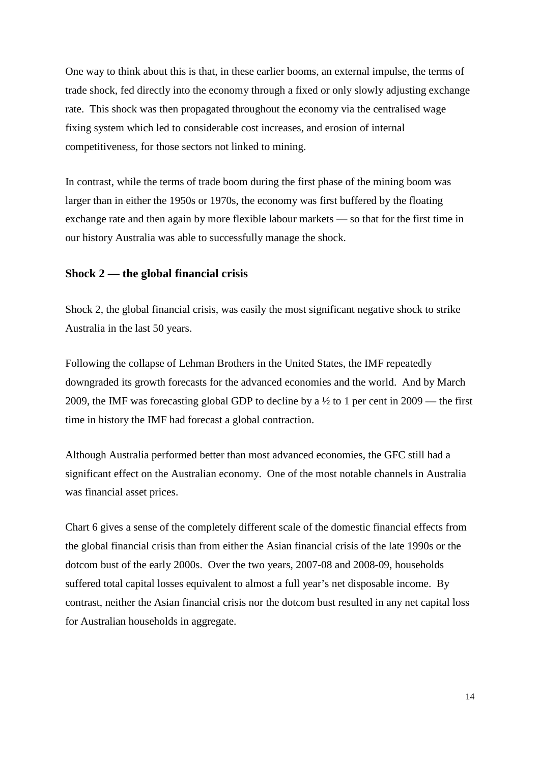One way to think about this is that, in these earlier booms, an external impulse, the terms of trade shock, fed directly into the economy through a fixed or only slowly adjusting exchange rate. This shock was then propagated throughout the economy via the centralised wage fixing system which led to considerable cost increases, and erosion of internal competitiveness, for those sectors not linked to mining.

In contrast, while the terms of trade boom during the first phase of the mining boom was larger than in either the 1950s or 1970s, the economy was first buffered by the floating exchange rate and then again by more flexible labour markets — so that for the first time in our history Australia was able to successfully manage the shock.

### **Shock 2 — the global financial crisis**

Shock 2, the global financial crisis, was easily the most significant negative shock to strike Australia in the last 50 years.

Following the collapse of Lehman Brothers in the United States, the IMF repeatedly downgraded its growth forecasts for the advanced economies and the world. And by March 2009, the IMF was forecasting global GDP to decline by a ½ to 1 per cent in 2009 — the first time in history the IMF had forecast a global contraction.

Although Australia performed better than most advanced economies, the GFC still had a significant effect on the Australian economy. One of the most notable channels in Australia was financial asset prices.

Chart 6 gives a sense of the completely different scale of the domestic financial effects from the global financial crisis than from either the Asian financial crisis of the late 1990s or the dotcom bust of the early 2000s. Over the two years, 2007-08 and 2008-09, households suffered total capital losses equivalent to almost a full year's net disposable income. By contrast, neither the Asian financial crisis nor the dotcom bust resulted in any net capital loss for Australian households in aggregate.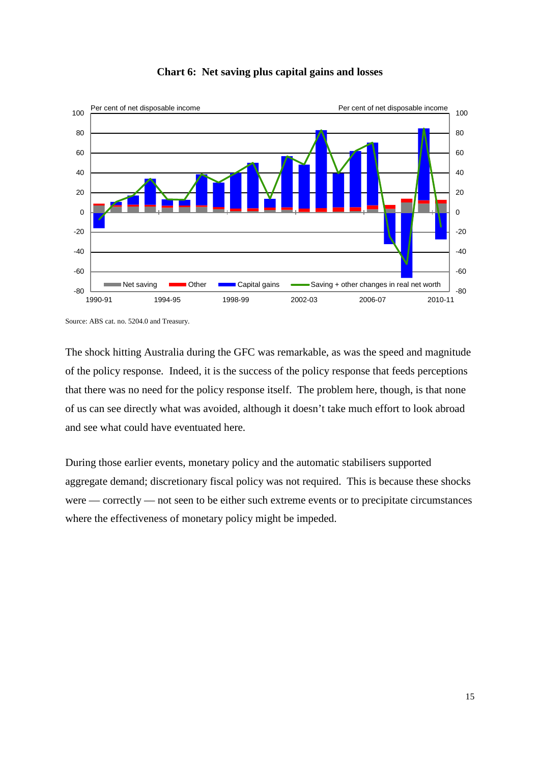![](_page_14_Figure_0.jpeg)

### **Chart 6: Net saving plus capital gains and losses**

The shock hitting Australia during the GFC was remarkable, as was the speed and magnitude of the policy response. Indeed, it is the success of the policy response that feeds perceptions that there was no need for the policy response itself. The problem here, though, is that none of us can see directly what was avoided, although it doesn't take much effort to look abroad and see what could have eventuated here.

During those earlier events, monetary policy and the automatic stabilisers supported aggregate demand; discretionary fiscal policy was not required. This is because these shocks were — correctly — not seen to be either such extreme events or to precipitate circumstances where the effectiveness of monetary policy might be impeded.

Source: ABS cat. no. 5204.0 and Treasury.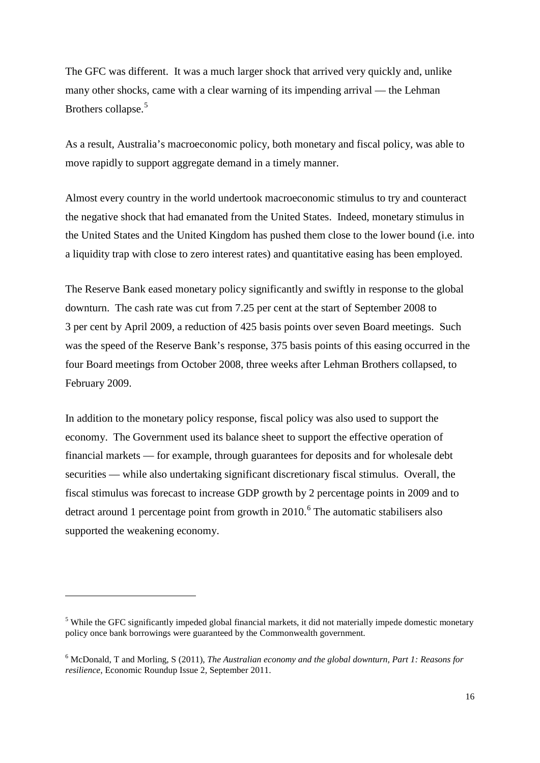The GFC was different. It was a much larger shock that arrived very quickly and, unlike many other shocks, came with a clear warning of its impending arrival — the Lehman Brothers collapse.<sup>[5](#page-15-0)</sup>

As a result, Australia's macroeconomic policy, both monetary and fiscal policy, was able to move rapidly to support aggregate demand in a timely manner.

Almost every country in the world undertook macroeconomic stimulus to try and counteract the negative shock that had emanated from the United States. Indeed, monetary stimulus in the United States and the United Kingdom has pushed them close to the lower bound (i.e. into a liquidity trap with close to zero interest rates) and quantitative easing has been employed.

The Reserve Bank eased monetary policy significantly and swiftly in response to the global downturn. The cash rate was cut from 7.25 per cent at the start of September 2008 to 3 per cent by April 2009, a reduction of 425 basis points over seven Board meetings. Such was the speed of the Reserve Bank's response, 375 basis points of this easing occurred in the four Board meetings from October 2008, three weeks after Lehman Brothers collapsed, to February 2009.

In addition to the monetary policy response, fiscal policy was also used to support the economy. The Government used its balance sheet to support the effective operation of financial markets — for example, through guarantees for deposits and for wholesale debt securities — while also undertaking significant discretionary fiscal stimulus. Overall, the fiscal stimulus was forecast to increase GDP growth by 2 percentage points in 2009 and to detract around 1 percentage point from growth in  $2010$ .<sup>[6](#page-15-1)</sup> The automatic stabilisers also supported the weakening economy.

<u>.</u>

<span id="page-15-0"></span><sup>&</sup>lt;sup>5</sup> While the GFC significantly impeded global financial markets, it did not materially impede domestic monetary policy once bank borrowings were guaranteed by the Commonwealth government.

<span id="page-15-1"></span><sup>6</sup> McDonald, T and Morling, S (2011), *The Australian economy and the global downturn, Part 1: Reasons for resilience*, Economic Roundup Issue 2, September 2011.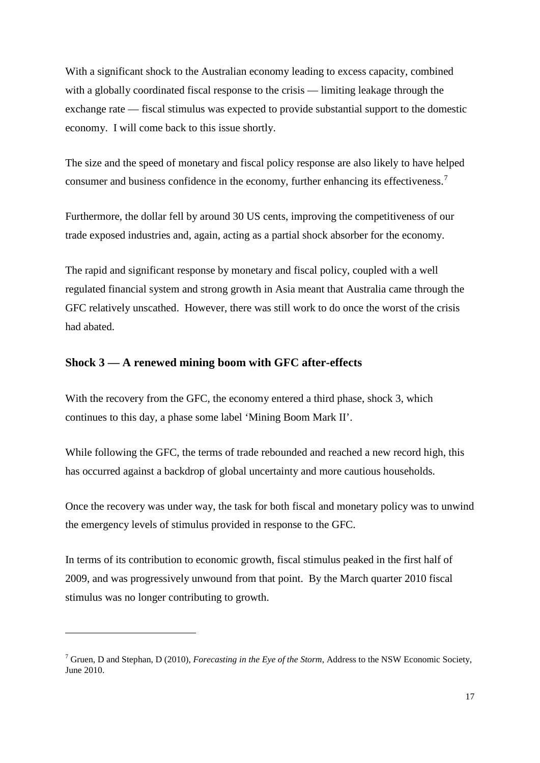With a significant shock to the Australian economy leading to excess capacity, combined with a globally coordinated fiscal response to the crisis — limiting leakage through the exchange rate — fiscal stimulus was expected to provide substantial support to the domestic economy. I will come back to this issue shortly.

The size and the speed of monetary and fiscal policy response are also likely to have helped consumer and business confidence in the economy, further enhancing its effectiveness.<sup>[7](#page-16-0)</sup>

Furthermore, the dollar fell by around 30 US cents, improving the competitiveness of our trade exposed industries and, again, acting as a partial shock absorber for the economy.

The rapid and significant response by monetary and fiscal policy, coupled with a well regulated financial system and strong growth in Asia meant that Australia came through the GFC relatively unscathed. However, there was still work to do once the worst of the crisis had abated.

### **Shock 3 — A renewed mining boom with GFC after-effects**

1

With the recovery from the GFC, the economy entered a third phase, shock 3, which continues to this day, a phase some label 'Mining Boom Mark II'.

While following the GFC, the terms of trade rebounded and reached a new record high, this has occurred against a backdrop of global uncertainty and more cautious households.

Once the recovery was under way, the task for both fiscal and monetary policy was to unwind the emergency levels of stimulus provided in response to the GFC.

In terms of its contribution to economic growth, fiscal stimulus peaked in the first half of 2009, and was progressively unwound from that point. By the March quarter 2010 fiscal stimulus was no longer contributing to growth.

<span id="page-16-0"></span><sup>7</sup> Gruen, D and Stephan, D (2010), *Forecasting in the Eye of the Storm*, Address to the NSW Economic Society, June 2010.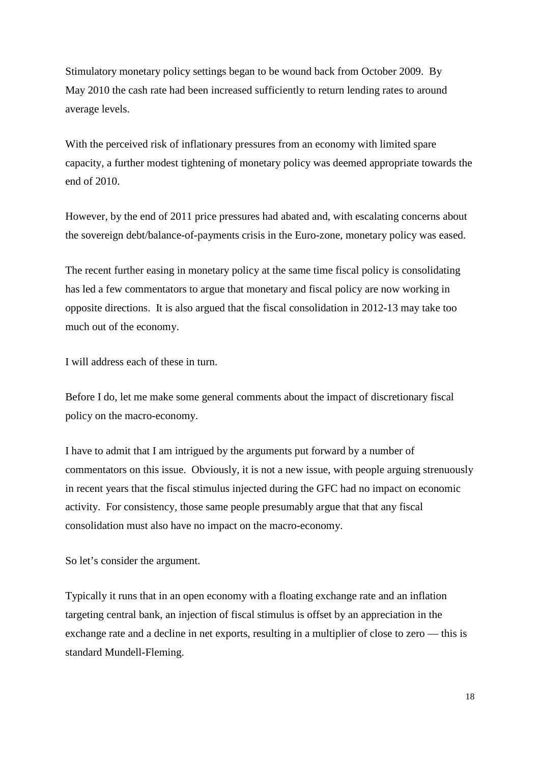Stimulatory monetary policy settings began to be wound back from October 2009. By May 2010 the cash rate had been increased sufficiently to return lending rates to around average levels.

With the perceived risk of inflationary pressures from an economy with limited spare capacity, a further modest tightening of monetary policy was deemed appropriate towards the end of 2010.

However, by the end of 2011 price pressures had abated and, with escalating concerns about the sovereign debt/balance-of-payments crisis in the Euro-zone, monetary policy was eased.

The recent further easing in monetary policy at the same time fiscal policy is consolidating has led a few commentators to argue that monetary and fiscal policy are now working in opposite directions. It is also argued that the fiscal consolidation in 2012-13 may take too much out of the economy.

I will address each of these in turn.

Before I do, let me make some general comments about the impact of discretionary fiscal policy on the macro-economy.

I have to admit that I am intrigued by the arguments put forward by a number of commentators on this issue. Obviously, it is not a new issue, with people arguing strenuously in recent years that the fiscal stimulus injected during the GFC had no impact on economic activity. For consistency, those same people presumably argue that that any fiscal consolidation must also have no impact on the macro-economy.

So let's consider the argument.

Typically it runs that in an open economy with a floating exchange rate and an inflation targeting central bank, an injection of fiscal stimulus is offset by an appreciation in the exchange rate and a decline in net exports, resulting in a multiplier of close to zero — this is standard Mundell-Fleming.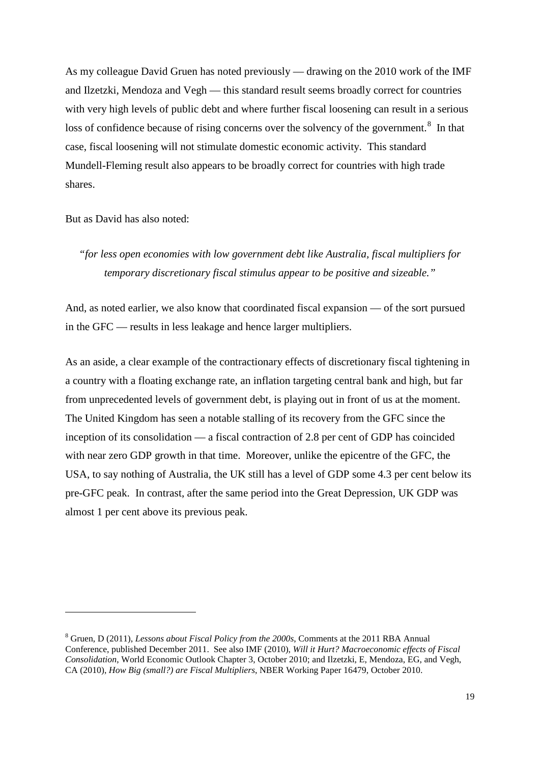As my colleague David Gruen has noted previously — drawing on the 2010 work of the IMF and Ilzetzki, Mendoza and Vegh — this standard result seems broadly correct for countries with very high levels of public debt and where further fiscal loosening can result in a serious loss of confidence because of rising concerns over the solvency of the government.<sup>[8](#page-18-0)</sup> In that case, fiscal loosening will not stimulate domestic economic activity. This standard Mundell-Fleming result also appears to be broadly correct for countries with high trade shares.

But as David has also noted:

<u>.</u>

## *"for less open economies with low government debt like Australia, fiscal multipliers for temporary discretionary fiscal stimulus appear to be positive and sizeable."*

And, as noted earlier, we also know that coordinated fiscal expansion — of the sort pursued in the GFC — results in less leakage and hence larger multipliers.

As an aside, a clear example of the contractionary effects of discretionary fiscal tightening in a country with a floating exchange rate, an inflation targeting central bank and high, but far from unprecedented levels of government debt, is playing out in front of us at the moment. The United Kingdom has seen a notable stalling of its recovery from the GFC since the inception of its consolidation — a fiscal contraction of 2.8 per cent of GDP has coincided with near zero GDP growth in that time. Moreover, unlike the epicentre of the GFC, the USA, to say nothing of Australia, the UK still has a level of GDP some 4.3 per cent below its pre-GFC peak. In contrast, after the same period into the Great Depression, UK GDP was almost 1 per cent above its previous peak.

<span id="page-18-0"></span><sup>8</sup> Gruen, D (2011), *Lessons about Fiscal Policy from the 2000s*, Comments at the 2011 RBA Annual Conference, published December 2011. See also IMF (2010), *Will it Hurt? Macroeconomic effects of Fiscal Consolidation*, World Economic Outlook Chapter 3, October 2010; and Ilzetzki, E, Mendoza, EG, and Vegh, CA (2010), *How Big (small?) are Fiscal Multipliers*, NBER Working Paper 16479, October 2010.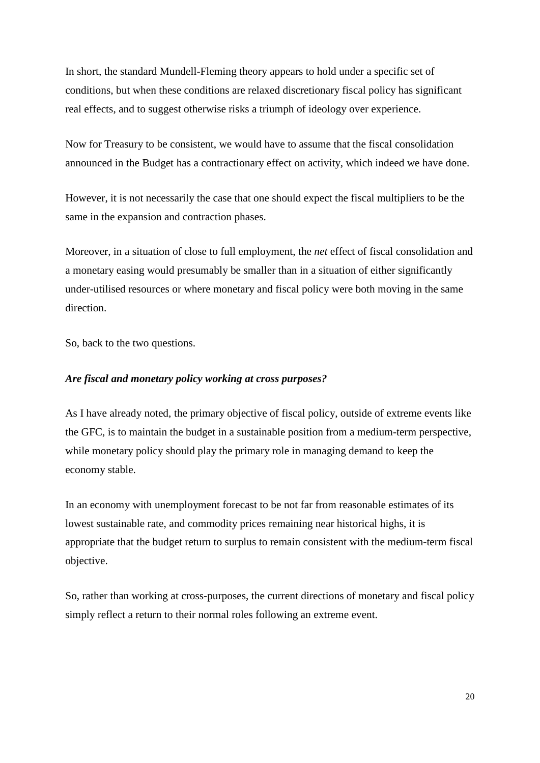In short, the standard Mundell-Fleming theory appears to hold under a specific set of conditions, but when these conditions are relaxed discretionary fiscal policy has significant real effects, and to suggest otherwise risks a triumph of ideology over experience.

Now for Treasury to be consistent, we would have to assume that the fiscal consolidation announced in the Budget has a contractionary effect on activity, which indeed we have done.

However, it is not necessarily the case that one should expect the fiscal multipliers to be the same in the expansion and contraction phases.

Moreover, in a situation of close to full employment, the *net* effect of fiscal consolidation and a monetary easing would presumably be smaller than in a situation of either significantly under-utilised resources or where monetary and fiscal policy were both moving in the same direction.

So, back to the two questions.

### *Are fiscal and monetary policy working at cross purposes?*

As I have already noted, the primary objective of fiscal policy, outside of extreme events like the GFC, is to maintain the budget in a sustainable position from a medium-term perspective, while monetary policy should play the primary role in managing demand to keep the economy stable.

In an economy with unemployment forecast to be not far from reasonable estimates of its lowest sustainable rate, and commodity prices remaining near historical highs, it is appropriate that the budget return to surplus to remain consistent with the medium-term fiscal objective.

So, rather than working at cross-purposes, the current directions of monetary and fiscal policy simply reflect a return to their normal roles following an extreme event.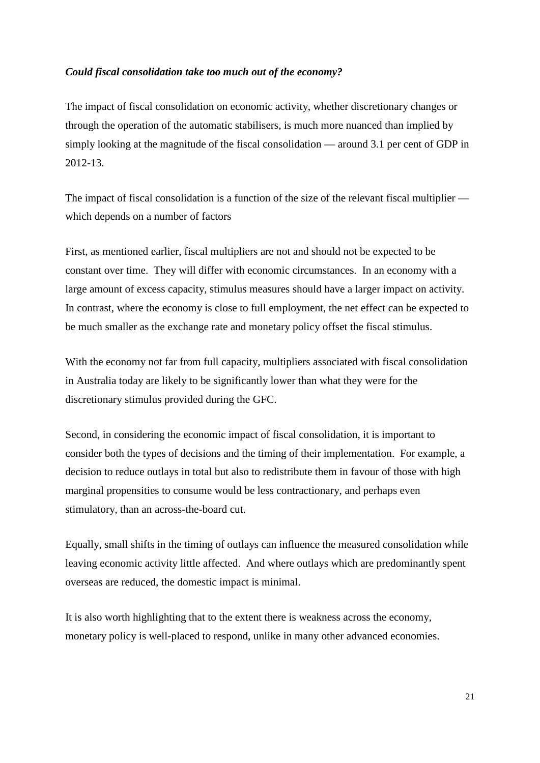### *Could fiscal consolidation take too much out of the economy?*

The impact of fiscal consolidation on economic activity, whether discretionary changes or through the operation of the automatic stabilisers, is much more nuanced than implied by simply looking at the magnitude of the fiscal consolidation — around 3.1 per cent of GDP in 2012-13.

The impact of fiscal consolidation is a function of the size of the relevant fiscal multiplier which depends on a number of factors

First, as mentioned earlier, fiscal multipliers are not and should not be expected to be constant over time. They will differ with economic circumstances. In an economy with a large amount of excess capacity, stimulus measures should have a larger impact on activity. In contrast, where the economy is close to full employment, the net effect can be expected to be much smaller as the exchange rate and monetary policy offset the fiscal stimulus.

With the economy not far from full capacity, multipliers associated with fiscal consolidation in Australia today are likely to be significantly lower than what they were for the discretionary stimulus provided during the GFC.

Second, in considering the economic impact of fiscal consolidation, it is important to consider both the types of decisions and the timing of their implementation. For example, a decision to reduce outlays in total but also to redistribute them in favour of those with high marginal propensities to consume would be less contractionary, and perhaps even stimulatory, than an across-the-board cut.

Equally, small shifts in the timing of outlays can influence the measured consolidation while leaving economic activity little affected. And where outlays which are predominantly spent overseas are reduced, the domestic impact is minimal.

It is also worth highlighting that to the extent there is weakness across the economy, monetary policy is well-placed to respond, unlike in many other advanced economies.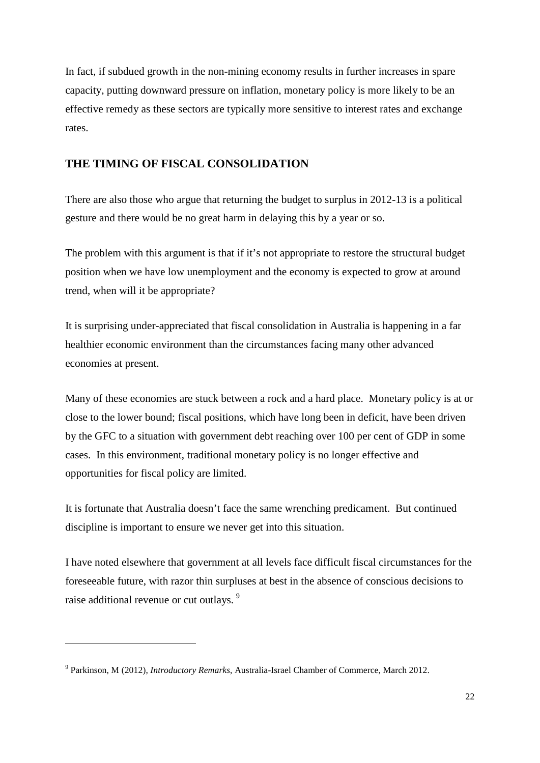In fact, if subdued growth in the non-mining economy results in further increases in spare capacity, putting downward pressure on inflation, monetary policy is more likely to be an effective remedy as these sectors are typically more sensitive to interest rates and exchange rates.

### **THE TIMING OF FISCAL CONSOLIDATION**

There are also those who argue that returning the budget to surplus in 2012-13 is a political gesture and there would be no great harm in delaying this by a year or so.

The problem with this argument is that if it's not appropriate to restore the structural budget position when we have low unemployment and the economy is expected to grow at around trend, when will it be appropriate?

It is surprising under-appreciated that fiscal consolidation in Australia is happening in a far healthier economic environment than the circumstances facing many other advanced economies at present.

Many of these economies are stuck between a rock and a hard place. Monetary policy is at or close to the lower bound; fiscal positions, which have long been in deficit, have been driven by the GFC to a situation with government debt reaching over 100 per cent of GDP in some cases. In this environment, traditional monetary policy is no longer effective and opportunities for fiscal policy are limited.

It is fortunate that Australia doesn't face the same wrenching predicament. But continued discipline is important to ensure we never get into this situation.

I have noted elsewhere that government at all levels face difficult fiscal circumstances for the foreseeable future, with razor thin surpluses at best in the absence of conscious decisions to raise additional revenue or cut outlays.<sup>[9](#page-21-0)</sup>

<u>.</u>

<span id="page-21-0"></span><sup>9</sup> Parkinson, M (2012), *Introductory Remarks*, Australia-Israel Chamber of Commerce, March 2012.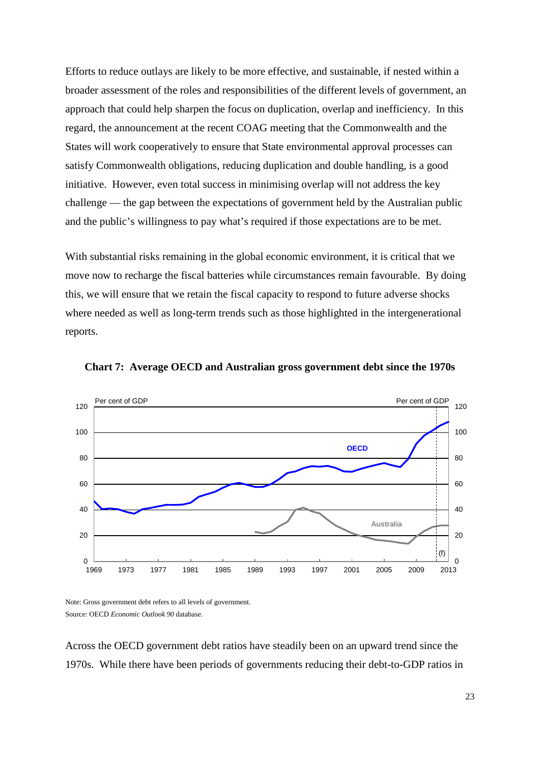Efforts to reduce outlays are likely to be more effective, and sustainable, if nested within a broader assessment of the roles and responsibilities of the different levels of government, an approach that could help sharpen the focus on duplication, overlap and inefficiency. In this regard, the announcement at the recent COAG meeting that the Commonwealth and the States will work cooperatively to ensure that State environmental approval processes can satisfy Commonwealth obligations, reducing duplication and double handling, is a good initiative. However, even total success in minimising overlap will not address the key challenge — the gap between the expectations of government held by the Australian public and the public's willingness to pay what's required if those expectations are to be met.

With substantial risks remaining in the global economic environment, it is critical that we move now to recharge the fiscal batteries while circumstances remain favourable. By doing this, we will ensure that we retain the fiscal capacity to respond to future adverse shocks where needed as well as long-term trends such as those highlighted in the intergenerational reports.

![](_page_22_Figure_2.jpeg)

**Chart 7: Average OECD and Australian gross government debt since the 1970s**

Note: Gross government debt refers to all levels of government. Source: OECD *Economic Outlook 90* database.

Across the OECD government debt ratios have steadily been on an upward trend since the 1970s. While there have been periods of governments reducing their debt-to-GDP ratios in